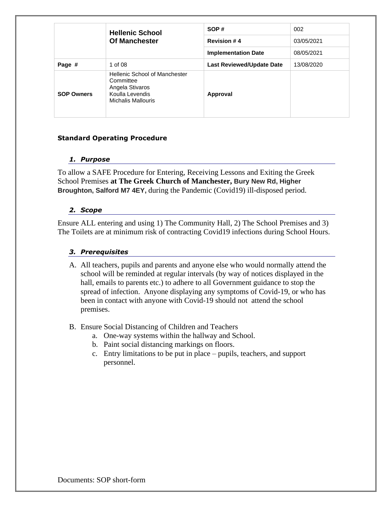|                   | <b>Hellenic School</b>                                                                                        | SOP#                             | 002        |
|-------------------|---------------------------------------------------------------------------------------------------------------|----------------------------------|------------|
|                   | <b>Of Manchester</b>                                                                                          | <b>Revision #4</b>               | 03/05/2021 |
|                   |                                                                                                               | <b>Implementation Date</b>       | 08/05/2021 |
| Page #            | 1 of 08                                                                                                       | <b>Last Reviewed/Update Date</b> | 13/08/2020 |
| <b>SOP Owners</b> | <b>Hellenic School of Manchester</b><br>Committee<br>Angela Stivaros<br>Koulla Levendis<br>Michalis Mallouris | Approval                         |            |

# **Standard Operating Procedure**

### *1. Purpose*

To allow a SAFE Procedure for Entering, Receiving Lessons and Exiting the Greek School Premises **at The Greek Church of Manchester, Bury New Rd, Higher Broughton, Salford M7 4EY,** during the Pandemic (Covid19) ill-disposed period.

# *2. Scope*

Ensure ALL entering and using 1) The Community Hall, 2) The School Premises and 3) The Toilets are at minimum risk of contracting Covid19 infections during School Hours.

# *3. Prerequisites*

- A. All teachers, pupils and parents and anyone else who would normally attend the school will be reminded at regular intervals (by way of notices displayed in the hall, emails to parents etc.) to adhere to all Government guidance to stop the spread of infection. Anyone displaying any symptoms of Covid-19, or who has been in contact with anyone with Covid-19 should not attend the school premises.
- B. Ensure Social Distancing of Children and Teachers
	- a. One-way systems within the hallway and School.
	- b. Paint social distancing markings on floors.
	- c. Entry limitations to be put in place pupils, teachers, and support personnel.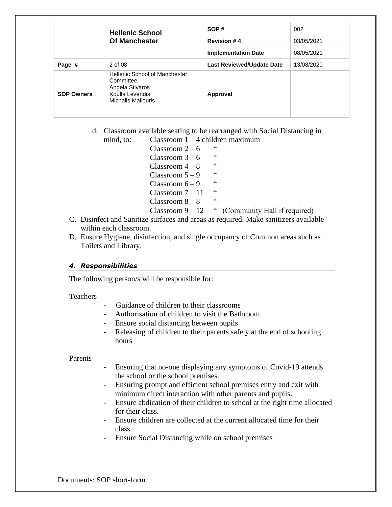|                   | <b>Hellenic School</b><br><b>Of Manchester</b>                                                                       | SOP#                             | 002        |
|-------------------|----------------------------------------------------------------------------------------------------------------------|----------------------------------|------------|
|                   |                                                                                                                      | <b>Revision #4</b>               | 03/05/2021 |
|                   |                                                                                                                      | <b>Implementation Date</b>       | 08/05/2021 |
| Page #            | 2 of 08                                                                                                              | <b>Last Reviewed/Update Date</b> | 13/08/2020 |
| <b>SOP Owners</b> | <b>Hellenic School of Manchester</b><br>Committee<br>Angela Stivaros<br>Koulla Levendis<br><b>Michalis Mallouris</b> | Approval                         |            |

d. Classroom available seating to be rearranged with Social Distancing in mind, to: Classroom  $1 - 4$  children maximum

- Classroom  $2 6$  "  $Classroom 3 - 6$ Classroom  $4 - 8$  " Classroom  $5 - 9$  " Classroom  $6 - 9$ Classroom  $7 - 11$  "  $Classroom 8 - 8$
- Classroom  $9 12$  " (Community Hall if required)
- C. Disinfect and Sanitize surfaces and areas as required. Make sanitizers available within each classroom.
- D. Ensure Hygiene, disinfection, and single occupancy of Common areas such as Toilets and Library.

### *4. Responsibilities*

The following person/s will be responsible for:

Teachers

- Guidance of children to their classrooms
- Authorisation of children to visit the Bathroom
- Ensure social distancing between pupils
- Releasing of children to their parents safely at the end of schooling hours

Parents

- Ensuring that no-one displaying any symptoms of Covid-19 attends the school or the school premises.
- Ensuring prompt and efficient school premises entry and exit with minimum direct interaction with other parents and pupils.
- Ensure abdication of their children to school at the right time allocated for their class.
- Ensure children are collected at the current allocated time for their class.
- Ensure Social Distancing while on school premises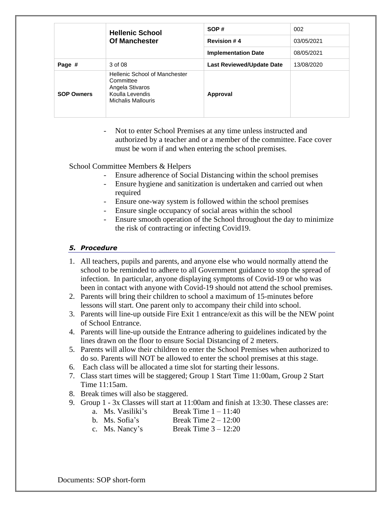|                   | <b>Hellenic School</b><br><b>Of Manchester</b>                                                                | SOP#                             | 002        |
|-------------------|---------------------------------------------------------------------------------------------------------------|----------------------------------|------------|
|                   |                                                                                                               | <b>Revision #4</b>               | 03/05/2021 |
|                   |                                                                                                               | <b>Implementation Date</b>       | 08/05/2021 |
| Page #            | 3 of 08                                                                                                       | <b>Last Reviewed/Update Date</b> | 13/08/2020 |
| <b>SOP Owners</b> | <b>Hellenic School of Manchester</b><br>Committee<br>Angela Stivaros<br>Koulla Levendis<br>Michalis Mallouris | Approval                         |            |

Not to enter School Premises at any time unless instructed and authorized by a teacher and or a member of the committee. Face cover must be worn if and when entering the school premises.

School Committee Members & Helpers

- Ensure adherence of Social Distancing within the school premises
- Ensure hygiene and sanitization is undertaken and carried out when required
- Ensure one-way system is followed within the school premises
- Ensure single occupancy of social areas within the school
- Ensure smooth operation of the School throughout the day to minimize the risk of contracting or infecting Covid19.

# *5. Procedure*

- 1. All teachers, pupils and parents, and anyone else who would normally attend the school to be reminded to adhere to all Government guidance to stop the spread of infection. In particular, anyone displaying symptoms of Covid-19 or who was been in contact with anyone with Covid-19 should not attend the school premises.
- 2. Parents will bring their children to school a maximum of 15-minutes before lessons will start. One parent only to accompany their child into school.
- 3. Parents will line-up outside Fire Exit 1 entrance/exit as this will be the NEW point of School Entrance.
- 4. Parents will line-up outside the Entrance adhering to guidelines indicated by the lines drawn on the floor to ensure Social Distancing of 2 meters.
- 5. Parents will allow their children to enter the School Premises when authorized to do so. Parents will NOT be allowed to enter the school premises at this stage.
- 6. Each class will be allocated a time slot for starting their lessons.
- 7. Class start times will be staggered; Group 1 Start Time 11:00am, Group 2 Start Time 11:15am.
- 8. Break times will also be staggered.
- 9. Group 1 3x Classes will start at 11:00am and finish at 13:30. These classes are:
	- a. Ms. Vasiliki's Break Time  $1 11:40$
	- b. Ms. Sofia's Break Time  $2 12:00$
	- c. Ms. Nancy's Break Time  $3 12:20$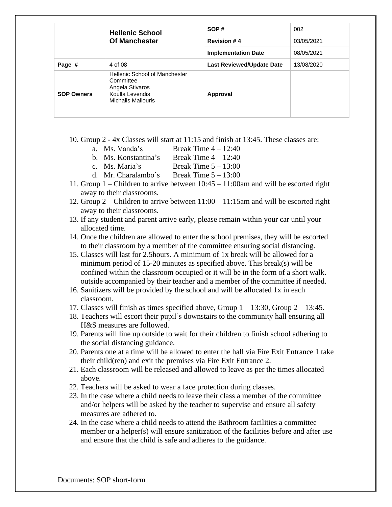|                   | <b>Hellenic School</b><br><b>Of Manchester</b>                                                                       | SOP#                             | 002        |
|-------------------|----------------------------------------------------------------------------------------------------------------------|----------------------------------|------------|
|                   |                                                                                                                      | <b>Revision #4</b>               | 03/05/2021 |
|                   |                                                                                                                      | <b>Implementation Date</b>       | 08/05/2021 |
| Page #            | 4 of 08                                                                                                              | <b>Last Reviewed/Update Date</b> | 13/08/2020 |
| <b>SOP Owners</b> | <b>Hellenic School of Manchester</b><br>Committee<br>Angela Stivaros<br>Koulla Levendis<br><b>Michalis Mallouris</b> | Approval                         |            |

- 10. Group 2 4x Classes will start at 11:15 and finish at 13:45. These classes are:
	- a. Ms. Vanda's Break Time  $4 12:40$
	- b. Ms. Konstantina's Break Time 4 12:40
	- c. Ms. Maria's Break Time  $5 13:00$
	- d. Mr. Charalambo's Break Time 5 13:00
- 11. Group 1 Children to arrive between 10:45 11:00am and will be escorted right away to their classrooms.
- 12. Group 2 Children to arrive between 11:00 11:15am and will be escorted right away to their classrooms.
- 13. If any student and parent arrive early, please remain within your car until your allocated time.
- 14. Once the children are allowed to enter the school premises, they will be escorted to their classroom by a member of the committee ensuring social distancing.
- 15. Classes will last for 2.5hours. A minimum of 1x break will be allowed for a minimum period of 15-20 minutes as specified above. This break(s) will be confined within the classroom occupied or it will be in the form of a short walk. outside accompanied by their teacher and a member of the committee if needed.
- 16. Sanitizers will be provided by the school and will be allocated 1x in each classroom.
- 17. Classes will finish as times specified above, Group  $1 13:30$ , Group  $2 13:45$ .
- 18. Teachers will escort their pupil's downstairs to the community hall ensuring all H&S measures are followed.
- 19. Parents will line up outside to wait for their children to finish school adhering to the social distancing guidance.
- 20. Parents one at a time will be allowed to enter the hall via Fire Exit Entrance 1 take their child(ren) and exit the premises via Fire Exit Entrance 2.
- 21. Each classroom will be released and allowed to leave as per the times allocated above.
- 22. Teachers will be asked to wear a face protection during classes.
- 23. In the case where a child needs to leave their class a member of the committee and/or helpers will be asked by the teacher to supervise and ensure all safety measures are adhered to.
- 24. In the case where a child needs to attend the Bathroom facilities a committee member or a helper(s) will ensure sanitization of the facilities before and after use and ensure that the child is safe and adheres to the guidance.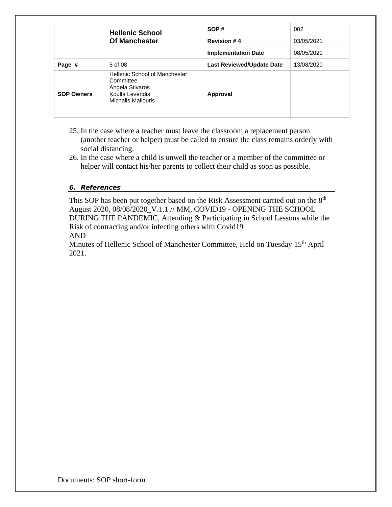|                   | <b>Hellenic School</b><br><b>Of Manchester</b>                                                                       | SOP#                             | 002        |
|-------------------|----------------------------------------------------------------------------------------------------------------------|----------------------------------|------------|
|                   |                                                                                                                      | <b>Revision #4</b>               | 03/05/2021 |
|                   |                                                                                                                      | <b>Implementation Date</b>       | 08/05/2021 |
| Page #            | 5 of 08                                                                                                              | <b>Last Reviewed/Update Date</b> | 13/08/2020 |
| <b>SOP Owners</b> | <b>Hellenic School of Manchester</b><br>Committee<br>Angela Stivaros<br>Koulla Levendis<br><b>Michalis Mallouris</b> | Approval                         |            |

- 25. In the case where a teacher must leave the classroom a replacement person (another teacher or helper) must be called to ensure the class remains orderly with social distancing.
- 26. In the case where a child is unwell the teacher or a member of the committee or helper will contact his/her parents to collect their child as soon as possible.

# *6. References*

This SOP has been put together based on the Risk Assessment carried out on the 8<sup>th</sup> August 2020, 08/08/2020\_V.1.1 // MM, COVID19 - OPENING THE SCHOOL DURING THE PANDEMIC, Attending & Participating in School Lessons while the Risk of contracting and/or infecting others with Covid19 AND

Minutes of Hellenic School of Manchester Committee, Held on Tuesday 15<sup>th</sup> April 2021.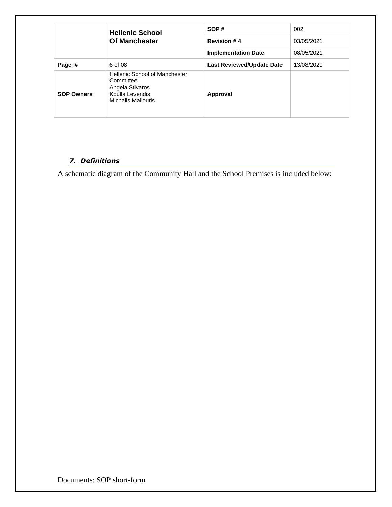|                   | <b>Hellenic School</b><br><b>Of Manchester</b>                                                                       | SOP#                             | 002        |
|-------------------|----------------------------------------------------------------------------------------------------------------------|----------------------------------|------------|
|                   |                                                                                                                      | <b>Revision #4</b>               | 03/05/2021 |
|                   |                                                                                                                      | <b>Implementation Date</b>       | 08/05/2021 |
| Page #            | 6 of 08                                                                                                              | <b>Last Reviewed/Update Date</b> | 13/08/2020 |
| <b>SOP Owners</b> | <b>Hellenic School of Manchester</b><br>Committee<br>Angela Stivaros<br>Koulla Levendis<br><b>Michalis Mallouris</b> | Approval                         |            |

# *7. Definitions*

A schematic diagram of the Community Hall and the School Premises is included below: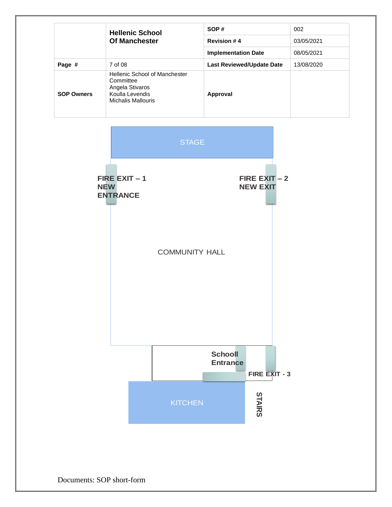|                   | <b>Hellenic School</b><br><b>Of Manchester</b>                                                         | SOP#                             | 002        |
|-------------------|--------------------------------------------------------------------------------------------------------|----------------------------------|------------|
|                   |                                                                                                        | <b>Revision #4</b>               | 03/05/2021 |
|                   |                                                                                                        | <b>Implementation Date</b>       | 08/05/2021 |
| Page #            | 7 of 08                                                                                                | <b>Last Reviewed/Update Date</b> | 13/08/2020 |
| <b>SOP Owners</b> | Hellenic School of Manchester<br>Committee<br>Angela Stivaros<br>Koulla Levendis<br>Michalis Mallouris | Approval                         |            |